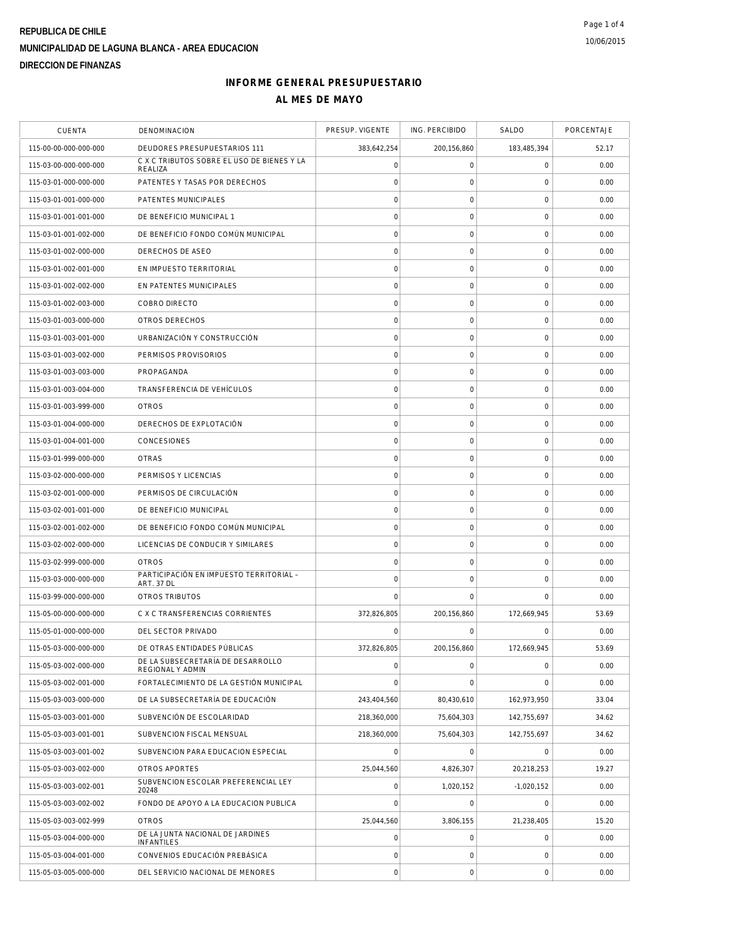# **REPUBLICA DE CHILE MUNICIPALIDAD DE LAGUNA BLANCA - AREA EDUCACION DIRECCION DE FINANZAS**

## **INFORME GENERAL PRESUPUESTARIO AL MES DE MAYO**

| <b>CUENTA</b>         | DENOMINACION                                                 | PRESUP. VIGENTE     | ING. PERCIBIDO      | SALDO               | PORCENTAJE |
|-----------------------|--------------------------------------------------------------|---------------------|---------------------|---------------------|------------|
| 115-00-00-000-000-000 | DEUDORES PRESUPUESTARIOS 111                                 | 383,642,254         | 200,156,860         | 183,485,394         | 52.17      |
| 115-03-00-000-000-000 | C X C TRIBUTOS SOBRE EL USO DE BIENES Y LA<br>REALIZA        | $\mathsf{O}\xspace$ | $\mathsf{O}\xspace$ | 0                   | 0.00       |
| 115-03-01-000-000-000 | PATENTES Y TASAS POR DERECHOS                                | $\mathbf 0$         | 0                   | 0                   | 0.00       |
| 115-03-01-001-000-000 | PATENTES MUNICIPALES                                         | $\mathbf 0$         | $\mathsf{O}\xspace$ | $\mathbf 0$         | 0.00       |
| 115-03-01-001-001-000 | DE BENEFICIO MUNICIPAL 1                                     | $\mathbf 0$         | $\mathsf{O}\xspace$ | $\mathbf 0$         | 0.00       |
| 115-03-01-001-002-000 | DE BENEFICIO FONDO COMÚN MUNICIPAL                           | $\circ$             | $\mathbf 0$         | $\mathbf 0$         | 0.00       |
| 115-03-01-002-000-000 | DERECHOS DE ASEO                                             | $\mathbf 0$         | $\mathsf{O}\xspace$ | $\mathbf 0$         | 0.00       |
| 115-03-01-002-001-000 | EN IMPUESTO TERRITORIAL                                      | $\mathbf 0$         | $\mathbf 0$         | $\mathbf 0$         | 0.00       |
| 115-03-01-002-002-000 | EN PATENTES MUNICIPALES                                      | $\circ$             | $\mathsf{O}\xspace$ | $\mathsf{O}\xspace$ | 0.00       |
| 115-03-01-002-003-000 | COBRO DIRECTO                                                | $\mathbf 0$         | $\mathsf{O}\xspace$ | $\mathbf 0$         | 0.00       |
| 115-03-01-003-000-000 | OTROS DERECHOS                                               | $\mathsf{O}\xspace$ | $\mathsf{O}\xspace$ | $\mathbf 0$         | 0.00       |
| 115-03-01-003-001-000 | URBANIZACIÓN Y CONSTRUCCIÓN                                  | $\circ$             | $\mathsf{O}\xspace$ | $\mathbf 0$         | 0.00       |
| 115-03-01-003-002-000 | PERMISOS PROVISORIOS                                         | $\mathbf 0$         | $\mathsf{O}\xspace$ | $\mathbf 0$         | 0.00       |
| 115-03-01-003-003-000 | PROPAGANDA                                                   | $\mathbf 0$         | $\mathbf 0$         | $\mathbf 0$         | 0.00       |
| 115-03-01-003-004-000 | TRANSFERENCIA DE VEHÍCULOS                                   | $\mathbf 0$         | $\mathsf{O}\xspace$ | 0                   | 0.00       |
| 115-03-01-003-999-000 | <b>OTROS</b>                                                 | $\mathbf 0$         | $\mathsf{O}\xspace$ | $\mathbf 0$         | 0.00       |
| 115-03-01-004-000-000 | DERECHOS DE EXPLOTACIÓN                                      | $\circ$             | $\mathsf O$         | $\mathbf 0$         | 0.00       |
| 115-03-01-004-001-000 | CONCESIONES                                                  | $\mathbf 0$         | $\mathsf O$         | $\mathbf 0$         | 0.00       |
| 115-03-01-999-000-000 | <b>OTRAS</b>                                                 | $\circ$             | $\mathsf O$         | $\mathbf 0$         | 0.00       |
| 115-03-02-000-000-000 | PERMISOS Y LICENCIAS                                         | $\mathbf 0$         | $\mathbf 0$         | $\mathbf 0$         | 0.00       |
| 115-03-02-001-000-000 | PERMISOS DE CIRCULACIÓN                                      | $\circ$             | $\mathsf O$         | $\mathbf 0$         | 0.00       |
| 115-03-02-001-001-000 | DE BENEFICIO MUNICIPAL                                       | $\circ$             | $\mathsf O$         | $\mathbf 0$         | 0.00       |
| 115-03-02-001-002-000 | DE BENEFICIO FONDO COMÚN MUNICIPAL                           | $\circ$             | $\mathsf{O}\xspace$ | $\mathbf 0$         | 0.00       |
| 115-03-02-002-000-000 | LICENCIAS DE CONDUCIR Y SIMILARES                            | $\mathbf 0$         | $\mathsf{O}\xspace$ | $\mathbf 0$         | 0.00       |
| 115-03-02-999-000-000 | <b>OTROS</b>                                                 | $\mathbf 0$         | $\mathsf O$         | $\mathbf 0$         | 0.00       |
| 115-03-03-000-000-000 | PARTICIPACIÓN EN IMPUESTO TERRITORIAL -<br><b>ART. 37 DL</b> | $\circ$             | $\mathsf O$         | $\mathbf 0$         | 0.00       |
| 115-03-99-000-000-000 | OTROS TRIBUTOS                                               | $\mathbf 0$         | $\mathbf 0$         | 0                   | 0.00       |
| 115-05-00-000-000-000 | C X C TRANSFERENCIAS CORRIENTES                              | 372,826,805         | 200,156,860         | 172,669,945         | 53.69      |
| 115-05-01-000-000-000 | DEL SECTOR PRIVADO                                           | $\Omega$            | $\Omega$            | $\Omega$            | 0.00       |
| 115-05-03-000-000-000 | DE OTRAS ENTIDADES PÚBLICAS                                  | 372,826,805         | 200,156,860         | 172,669,945         | 53.69      |
| 115-05-03-002-000-000 | DE LA SUBSECRETARÍA DE DESARROLLO<br>REGIONAL Y ADMIN        | $\circ$             | $\mathsf{O}\xspace$ | $\mathbf 0$         | 0.00       |
| 115-05-03-002-001-000 | FORTALECIMIENTO DE LA GESTIÓN MUNICIPAL                      | $\mathbf 0$         | $\mathbf 0$         | $\mathbf 0$         | 0.00       |
| 115-05-03-003-000-000 | DE LA SUBSECRETARÍA DE EDUCACIÓN                             | 243,404,560         | 80,430,610          | 162,973,950         | 33.04      |
| 115-05-03-003-001-000 | SUBVENCIÓN DE ESCOLARIDAD                                    | 218,360,000         | 75.604.303          | 142.755.697         | 34.62      |
| 115-05-03-003-001-001 | SUBVENCION FISCAL MENSUAL                                    | 218,360,000         | 75,604,303          | 142,755,697         | 34.62      |
| 115-05-03-003-001-002 | SUBVENCION PARA EDUCACION ESPECIAL                           | $\overline{0}$      | $\mathbf 0$         | $\mathbf 0$         | 0.00       |
| 115-05-03-003-002-000 | OTROS APORTES                                                | 25,044,560          | 4,826,307           | 20,218,253          | 19.27      |
| 115-05-03-003-002-001 | SUBVENCION ESCOLAR PREFERENCIAL LEY<br>20248                 | $\mathbf 0$         | 1,020,152           | $-1,020,152$        | 0.00       |
| 115-05-03-003-002-002 | FONDO DE APOYO A LA EDUCACION PUBLICA                        | $\mathbf 0$         | $\mathsf O$         | 0                   | 0.00       |
| 115-05-03-003-002-999 | <b>OTROS</b>                                                 | 25,044,560          | 3,806,155           | 21,238,405          | 15.20      |
| 115-05-03-004-000-000 | DE LA JUNTA NACIONAL DE JARDINES<br><b>INFANTILES</b>        | $\mathbf 0$         | $\mathsf O$         | $\mathsf{O}\xspace$ | 0.00       |
| 115-05-03-004-001-000 | CONVENIOS EDUCACIÓN PREBÁSICA                                | $\mathbf 0$         | $\mathbf 0$         | 0                   | 0.00       |
| 115-05-03-005-000-000 | DEL SERVICIO NACIONAL DE MENORES                             | $\mathbf 0$         | $\mathsf{O}\xspace$ | $\mathbf 0$         | 0.00       |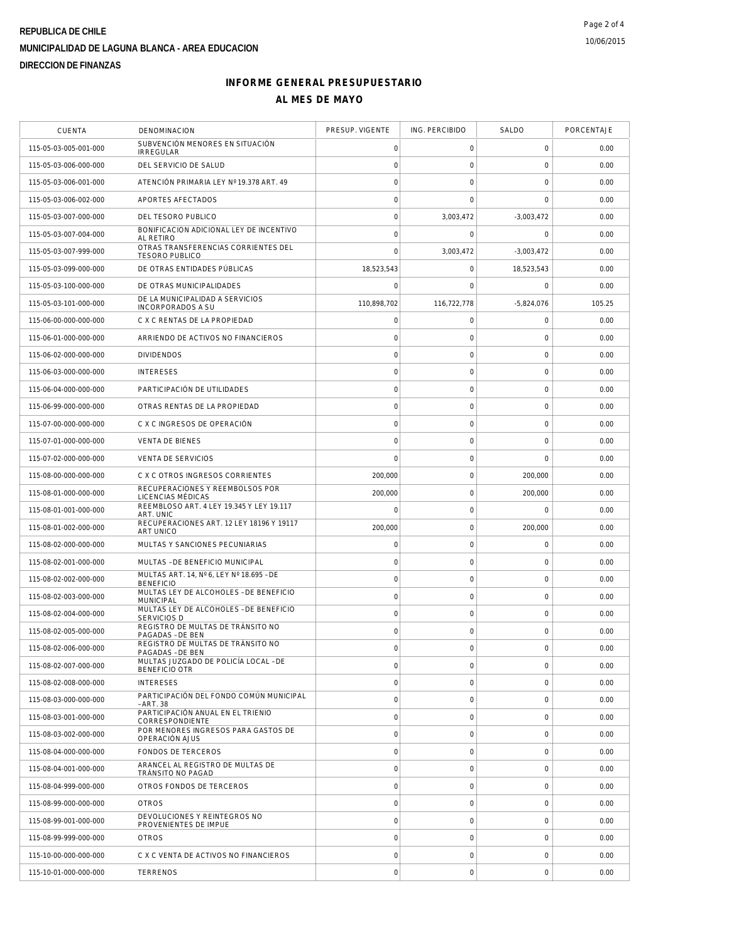# **REPUBLICA DE CHILE MUNICIPALIDAD DE LAGUNA BLANCA - AREA EDUCACION DIRECCION DE FINANZAS**

## **INFORME GENERAL PRESUPUESTARIO AL MES DE MAYO**

| <b>CUENTA</b>         | DENOMINACION                                                 | PRESUP. VIGENTE     | ING. PERCIBIDO      | SALDO               | PORCENTAJE |
|-----------------------|--------------------------------------------------------------|---------------------|---------------------|---------------------|------------|
| 115-05-03-005-001-000 | SUBVENCIÓN MENORES EN SITUACIÓN<br><b>IRREGULAR</b>          | 0                   | 0                   | 0                   | 0.00       |
| 115-05-03-006-000-000 | DEL SERVICIO DE SALUD                                        | $\mathbf 0$         | $\mathbf 0$         | $\mathbf 0$         | 0.00       |
| 115-05-03-006-001-000 | ATENCIÓN PRIMARIA LEY Nº 19.378 ART. 49                      | $\mathbf 0$         | $\mathbf 0$         | $\mathbf 0$         | 0.00       |
| 115-05-03-006-002-000 | APORTES AFECTADOS                                            | $\mathsf{O}\xspace$ | $\mathbf 0$         | $\mathbf 0$         | 0.00       |
| 115-05-03-007-000-000 | DEL TESORO PUBLICO                                           | $\mathbf 0$         | 3,003,472           | $-3,003,472$        | 0.00       |
| 115-05-03-007-004-000 | BONIFICACION ADICIONAL LEY DE INCENTIVO<br>AL RETIRO         | $\mathbf 0$         | 0                   | 0                   | 0.00       |
| 115-05-03-007-999-000 | OTRAS TRANSFERENCIAS CORRIENTES DEL<br><b>TESORO PUBLICO</b> | $\mathbf 0$         | 3,003,472           | $-3.003.472$        | 0.00       |
| 115-05-03-099-000-000 | DE OTRAS ENTIDADES PÚBLICAS                                  | 18,523,543          | 0                   | 18,523,543          | 0.00       |
| 115-05-03-100-000-000 | DE OTRAS MUNICIPALIDADES                                     | $\Omega$            | $\mathbf 0$         | 0                   | 0.00       |
| 115-05-03-101-000-000 | DE LA MUNICIPALIDAD A SERVICIOS<br>INCORPORADOS A SU         | 110,898,702         | 116,722,778         | $-5,824,076$        | 105.25     |
| 115-06-00-000-000-000 | C X C RENTAS DE LA PROPIEDAD                                 | $\mathbf 0$         | 0                   | $\mathbf 0$         | 0.00       |
| 115-06-01-000-000-000 | ARRIENDO DE ACTIVOS NO FINANCIEROS                           | $\circ$             | $\mathsf{O}\xspace$ | $\mathsf{O}\xspace$ | 0.00       |
| 115-06-02-000-000-000 | <b>DIVIDENDOS</b>                                            | $\mathbf 0$         | 0                   | $\mathbf 0$         | 0.00       |
| 115-06-03-000-000-000 | <b>INTERESES</b>                                             | $\mathbf 0$         | $\mathbf 0$         | $\mathbf 0$         | 0.00       |
| 115-06-04-000-000-000 | PARTICIPACIÓN DE UTILIDADES                                  | $\mathbf 0$         | $\mathsf{O}\xspace$ | $\mathbf 0$         | 0.00       |
| 115-06-99-000-000-000 | OTRAS RENTAS DE LA PROPIEDAD                                 | $\mathsf{O}\xspace$ | $\mathsf{O}\xspace$ | $\mathbf 0$         | 0.00       |
| 115-07-00-000-000-000 | C X C INGRESOS DE OPERACIÓN                                  | $\mathbf 0$         | $\mathsf{O}\xspace$ | $\mathbf 0$         | 0.00       |
| 115-07-01-000-000-000 | <b>VENTA DE BIENES</b>                                       | $\mathbf 0$         | 0                   | 0                   | 0.00       |
| 115-07-02-000-000-000 | <b>VENTA DE SERVICIOS</b>                                    | $\mathbf 0$         | $\mathsf{O}\xspace$ | $\mathbf 0$         | 0.00       |
| 115-08-00-000-000-000 | C X C OTROS INGRESOS CORRIENTES                              | 200,000             | $\mathbf 0$         | 200,000             | 0.00       |
| 115-08-01-000-000-000 | RECUPERACIONES Y REEMBOLSOS POR<br>LICENCIAS MÉDICAS         | 200,000             | $\mathsf{O}\xspace$ | 200,000             | 0.00       |
| 115-08-01-001-000-000 | REEMBLOSO ART. 4 LEY 19.345 Y LEY 19.117<br>ART. UNIC        | $\mathbf 0$         | $\mathsf{O}\xspace$ | $\Omega$            | 0.00       |
| 115-08-01-002-000-000 | RECUPERACIONES ART. 12 LEY 18196 Y 19117<br><b>ART UNICO</b> | 200,000             | $\mathsf{O}\xspace$ | 200,000             | 0.00       |
| 115-08-02-000-000-000 | MULTAS Y SANCIONES PECUNIARIAS                               | 0                   | $\mathsf{O}\xspace$ | 0                   | 0.00       |
| 115-08-02-001-000-000 | MULTAS - DE BENEFICIO MUNICIPAL                              | 0                   | 0                   | 0                   | 0.00       |
| 115-08-02-002-000-000 | MULTAS ART. 14, Nº 6, LEY Nº 18.695 - DE<br><b>BENEFICIO</b> | $\mathsf{O}\xspace$ | $\mathsf{O}\xspace$ | $\mathbf 0$         | 0.00       |
| 115-08-02-003-000-000 | MULTAS LEY DE ALCOHOLES - DE BENEFICIO<br><b>MUNICIPAL</b>   | $\circ$             | $\mathbf 0$         | $\mathbf 0$         | 0.00       |
| 115-08-02-004-000-000 | MULTAS LEY DE ALCOHOLES - DE BENEFICIO<br><b>SERVICIOS D</b> | $\mathsf{O}\xspace$ | $\mathsf{O}\xspace$ | $\mathbf 0$         | 0.00       |
| 115-08-02-005-000-000 | REGISTRO DE MULTAS DE TRÁNSITO NO<br>PAGADAS - DE BEN        | $\mathbf 0$         | $\mathsf{O}\xspace$ | $\mathbf 0$         | 0.00       |
| 115-08-02-006-000-000 | REGISTRO DE MULTAS DE TRÁNSITO NO<br>PAGADAS - DE BEN        | $\mathbf 0$         | $\mathbf 0$         | 0                   | 0.00       |
| 115-08-02-007-000-000 | MULTAS JUZGADO DE POLICÍA LOCAL - DE<br><b>BENEFICIO OTR</b> | $\mathbf 0$         | $\mathsf O$         | $\mathbf 0$         | 0.00       |
| 115-08-02-008-000-000 | <b>INTERESES</b>                                             | $\mathbf 0$         | $\mathbf 0$         | $\mathbf 0$         | 0.00       |
| 115-08-03-000-000-000 | PARTICIPACIÓN DEL FONDO COMÚN MUNICIPAL<br>- ART. 38         | $\circ$             | $\mathbf 0$         | $\mathbf 0$         | 0.00       |
| 115-08-03-001-000-000 | PARTICIPACIÓN ANUAL EN EL TRIENIO<br>CORRESPONDIENTE         | $\circ$             | $\mathsf{O}\xspace$ | $\mathbf 0$         | 0.00       |
| 115-08-03-002-000-000 | POR MENORES INGRESOS PARA GASTOS DE<br>OPERACIÓN AJUS        | $\circ$             | $\mathsf{O}\xspace$ | $\mathbf 0$         | 0.00       |
| 115-08-04-000-000-000 | <b>FONDOS DE TERCEROS</b>                                    | $\circ$             | $\mathbf 0$         | $\mathbf 0$         | 0.00       |
| 115-08-04-001-000-000 | ARANCEL AL REGISTRO DE MULTAS DE<br>TRÁNSITO NO PAGAD        | $\mathbf 0$         | 0                   | $\mathbf 0$         | 0.00       |
| 115-08-04-999-000-000 | OTROS FONDOS DE TERCEROS                                     | $\circ$             | $\mathsf{O}\xspace$ | $\mathbf 0$         | 0.00       |
| 115-08-99-000-000-000 | <b>OTROS</b>                                                 | $\circ$             | $\mathbf 0$         | $\mathbf 0$         | 0.00       |
| 115-08-99-001-000-000 | DEVOLUCIONES Y REINTEGROS NO<br>PROVENIENTES DE IMPUE        | $\mathsf{O}\xspace$ | $\mathsf O$         | $\mathbf 0$         | 0.00       |
| 115-08-99-999-000-000 | <b>OTROS</b>                                                 | $\circ$             | $\mathsf{O}\xspace$ | $\mathbf 0$         | 0.00       |
| 115-10-00-000-000-000 | C X C VENTA DE ACTIVOS NO FINANCIEROS                        | $\mathbf 0$         | 0                   | 0                   | 0.00       |
| 115-10-01-000-000-000 | <b>TERRENOS</b>                                              | $\circ$             | $\mathsf{O}\xspace$ | $\mathbf 0$         | 0.00       |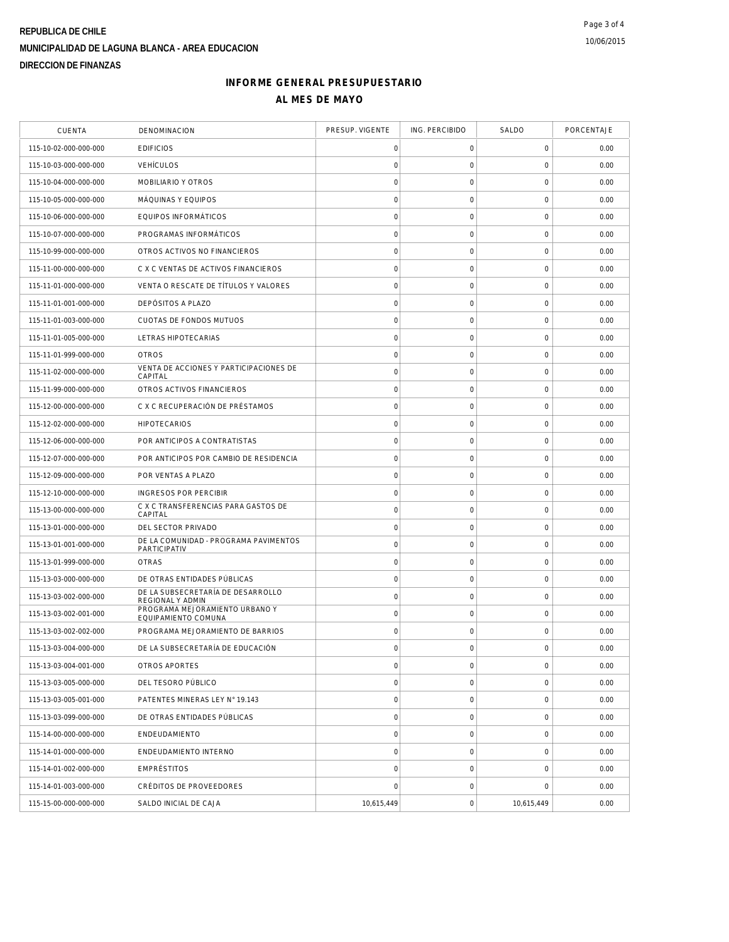# **REPUBLICA DE CHILE MUNICIPALIDAD DE LAGUNA BLANCA - AREA EDUCACION DIRECCION DE FINANZAS**

## **INFORME GENERAL PRESUPUESTARIO AL MES DE MAYO**

| <b>CUENTA</b>         | DENOMINACION                                          | PRESUP. VIGENTE     | ING. PERCIBIDO      | SALDO               | PORCENTAJE |
|-----------------------|-------------------------------------------------------|---------------------|---------------------|---------------------|------------|
| 115-10-02-000-000-000 | <b>EDIFICIOS</b>                                      | 0                   | 0                   | 0                   | 0.00       |
| 115-10-03-000-000-000 | <b>VEHÍCULOS</b>                                      | $\mathbf 0$         | $\mathsf O$         | $\mathbf 0$         | 0.00       |
| 115-10-04-000-000-000 | MOBILIARIO Y OTROS                                    | $\mathbf 0$         | $\mathsf{O}\xspace$ | $\mathbf 0$         | 0.00       |
| 115-10-05-000-000-000 | MÁQUINAS Y EQUIPOS                                    | $\mathsf{O}\xspace$ | $\mathsf O$         | 0                   | 0.00       |
| 115-10-06-000-000-000 | EQUIPOS INFORMÁTICOS                                  | $\mathbf 0$         | $\mathsf O$         | $\mathsf{O}\xspace$ | 0.00       |
| 115-10-07-000-000-000 | PROGRAMAS INFORMÁTICOS                                | $\mathbf 0$         | $\mathsf O$         | $\mathbf 0$         | 0.00       |
| 115-10-99-000-000-000 | OTROS ACTIVOS NO FINANCIEROS                          | $\mathsf{O}\xspace$ | $\mathsf{O}\xspace$ | $\mathbf 0$         | 0.00       |
| 115-11-00-000-000-000 | C X C VENTAS DE ACTIVOS FINANCIEROS                   | $\mathbf 0$         | $\mathsf{O}\xspace$ | $\mathbf 0$         | 0.00       |
| 115-11-01-000-000-000 | VENTA O RESCATE DE TÍTULOS Y VALORES                  | $\mathbf 0$         | $\mathsf{O}\xspace$ | $\mathbf 0$         | 0.00       |
| 115-11-01-001-000-000 | DEPÓSITOS A PLAZO                                     | $\mathbf 0$         | $\mathsf O$         | $\mathsf{O}\xspace$ | 0.00       |
| 115-11-01-003-000-000 | CUOTAS DE FONDOS MUTUOS                               | $\mathbf 0$         | 0                   | 0                   | 0.00       |
| 115-11-01-005-000-000 | LETRAS HIPOTECARIAS                                   | $\mathbf 0$         | $\mathsf{O}\xspace$ | $\mathsf{O}\xspace$ | 0.00       |
| 115-11-01-999-000-000 | <b>OTROS</b>                                          | $\mathsf{O}\xspace$ | 0                   | $\mathsf{O}\xspace$ | 0.00       |
| 115-11-02-000-000-000 | VENTA DE ACCIONES Y PARTICIPACIONES DE<br>CAPITAL     | $\mathbf 0$         | $\mathsf O$         | $\mathbf 0$         | 0.00       |
| 115-11-99-000-000-000 | OTROS ACTIVOS FINANCIEROS                             | $\circ$             | $\mathsf{O}\xspace$ | $\mathbf 0$         | 0.00       |
| 115-12-00-000-000-000 | C X C RECUPERACIÓN DE PRÉSTAMOS                       | $\mathsf{O}\xspace$ | $\mathsf O$         | 0                   | 0.00       |
| 115-12-02-000-000-000 | <b>HIPOTECARIOS</b>                                   | $\mathbf 0$         | $\mathsf{O}\xspace$ | $\mathbf 0$         | 0.00       |
| 115-12-06-000-000-000 | POR ANTICIPOS A CONTRATISTAS                          | $\mathbf 0$         | $\mathsf{O}\xspace$ | $\mathsf{O}\xspace$ | 0.00       |
| 115-12-07-000-000-000 | POR ANTICIPOS POR CAMBIO DE RESIDENCIA                | $\mathsf{O}\xspace$ | $\mathsf{O}\xspace$ | $\mathsf{O}\xspace$ | 0.00       |
| 115-12-09-000-000-000 | POR VENTAS A PLAZO                                    | $\circ$             | $\mathsf{O}\xspace$ | $\mathbf 0$         | 0.00       |
| 115-12-10-000-000-000 | INGRESOS POR PERCIBIR                                 | $\mathbf 0$         | $\mathsf O$         | $\mathbf 0$         | 0.00       |
| 115-13-00-000-000-000 | C X C TRANSFERENCIAS PARA GASTOS DE<br>CAPITAL        | $\mathbf 0$         | $\mathsf O$         | $\mathsf{O}\xspace$ | 0.00       |
| 115-13-01-000-000-000 | DEL SECTOR PRIVADO                                    | $\circ$             | $\mathsf O$         | 0                   | 0.00       |
| 115-13-01-001-000-000 | DE LA COMUNIDAD - PROGRAMA PAVIMENTOS<br>PARTICIPATIV | $\circ$             | $\mathsf{O}\xspace$ | $\mathbf 0$         | 0.00       |
| 115-13-01-999-000-000 | <b>OTRAS</b>                                          | $\mathbf 0$         | $\mathsf{O}\xspace$ | $\mathsf{O}\xspace$ | 0.00       |
| 115-13-03-000-000-000 | DE OTRAS ENTIDADES PÚBLICAS                           | $\mathbf 0$         | $\mathsf O$         | $\mathbf 0$         | 0.00       |
| 115-13-03-002-000-000 | DE LA SUBSECRETARÍA DE DESARROLLO<br>REGIONAL Y ADMIN | $\mathbf 0$         | $\mathsf O$         | $\mathbf 0$         | 0.00       |
| 115-13-03-002-001-000 | PROGRAMA MEJORAMIENTO URBANO Y<br>EQUIPAMIENTO COMUNA | $\mathsf{O}\xspace$ | $\mathsf O$         | 0                   | 0.00       |
| 115-13-03-002-002-000 | PROGRAMA MEJORAMIENTO DE BARRIOS                      | $\mathbf 0$         | $\mathsf{O}\xspace$ | 0                   | 0.00       |
| 115-13-03-004-000-000 | DE LA SUBSECRETARÍA DE EDUCACIÓN                      | $\mathbf 0$         | $\mathbf 0$         | $\mathbf 0$         | 0.00       |
| 115-13-03-004-001-000 | OTROS APORTES                                         | $\mathsf{O}\xspace$ | $\boldsymbol{0}$    | $\mathsf{O}\xspace$ | 0.00       |
| 115-13-03-005-000-000 | DEL TESORO PÚBLICO                                    | $\circ$             | $\mathbf 0$         | $\mathbf 0$         | 0.00       |
| 115-13-03-005-001-000 | PATENTES MINERAS LEY N° 19.143                        | $\mathbf 0$         | $\mathsf O$         | $\mathbf 0$         | 0.00       |
| 115-13-03-099-000-000 | DE OTRAS ENTIDADES PÚBLICAS                           | $\mathsf{O}\xspace$ | $\mathsf O$         | $\mathsf 0$         | 0.00       |
| 115-14-00-000-000-000 | ENDEUDAMIENTO                                         | $\mathsf{O}\xspace$ | 0                   | $\mathsf 0$         | 0.00       |
| 115-14-01-000-000-000 | ENDEUDAMIENTO INTERNO                                 | $\mathbf 0$         | $\mathsf{O}\xspace$ | $\mathsf 0$         | 0.00       |
| 115-14-01-002-000-000 | EMPRÉSTITOS                                           | $\mathbf 0$         | $\mathsf O$         | $\mathbf 0$         | 0.00       |
| 115-14-01-003-000-000 | CRÉDITOS DE PROVEEDORES                               | $\mathbf 0$         | $\mathsf O$         | $\mathbf 0$         | 0.00       |
| 115-15-00-000-000-000 | SALDO INICIAL DE CAJA                                 | 10,615,449          | $\mathsf{O}\xspace$ | 10,615,449          | 0.00       |